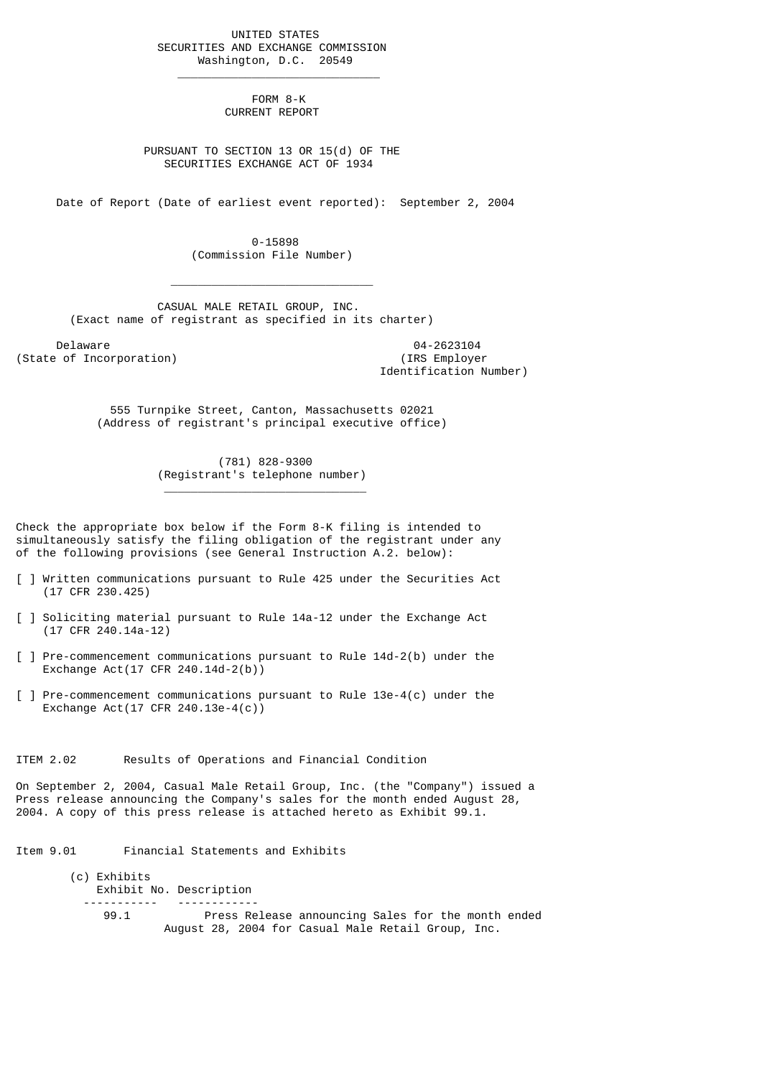UNITED STATES SECURITIES AND EXCHANGE COMMISSION Washington, D.C. 20549

 $\frac{1}{2}$  , and the set of the set of the set of the set of the set of the set of the set of the set of the set of the set of the set of the set of the set of the set of the set of the set of the set of the set of the set

 $\mathcal{L}_\text{max}$  and  $\mathcal{L}_\text{max}$  and  $\mathcal{L}_\text{max}$  and  $\mathcal{L}_\text{max}$  and  $\mathcal{L}_\text{max}$ 

\_\_\_\_\_\_\_\_\_\_\_\_\_\_\_\_\_\_\_\_\_\_\_\_\_\_\_\_\_\_

 FORM 8-K CURRENT REPORT

 PURSUANT TO SECTION 13 OR 15(d) OF THE SECURITIES EXCHANGE ACT OF 1934

Date of Report (Date of earliest event reported): September 2, 2004

 0-15898 (Commission File Number)

 CASUAL MALE RETAIL GROUP, INC. (Exact name of registrant as specified in its charter)

Delaware 04-2623104<br>
Delaware 04-2623104<br>
Of Incorporation (State of Incorporation)

Identification Number)

 555 Turnpike Street, Canton, Massachusetts 02021 (Address of registrant's principal executive office)

> (781) 828-9300 (Registrant's telephone number)

Check the appropriate box below if the Form 8-K filing is intended to simultaneously satisfy the filing obligation of the registrant under any of the following provisions (see General Instruction A.2. below):

- [ ] Written communications pursuant to Rule 425 under the Securities Act (17 CFR 230.425)
- [ ] Soliciting material pursuant to Rule 14a-12 under the Exchange Act (17 CFR 240.14a-12)
- [ ] Pre-commencement communications pursuant to Rule 14d-2(b) under the Exchange Act(17 CFR 240.14d-2(b))
- [ ] Pre-commencement communications pursuant to Rule 13e-4(c) under the Exchange Act(17 CFR 240.13e-4(c))

ITEM 2.02 Results of Operations and Financial Condition

On September 2, 2004, Casual Male Retail Group, Inc. (the "Company") issued a Press release announcing the Company's sales for the month ended August 28, 2004. A copy of this press release is attached hereto as Exhibit 99.1.

Item 9.01 Financial Statements and Exhibits

- (c) Exhibits Exhibit No. Description ----------- ------------
	- Press Release announcing Sales for the month ended August 28, 2004 for Casual Male Retail Group, Inc.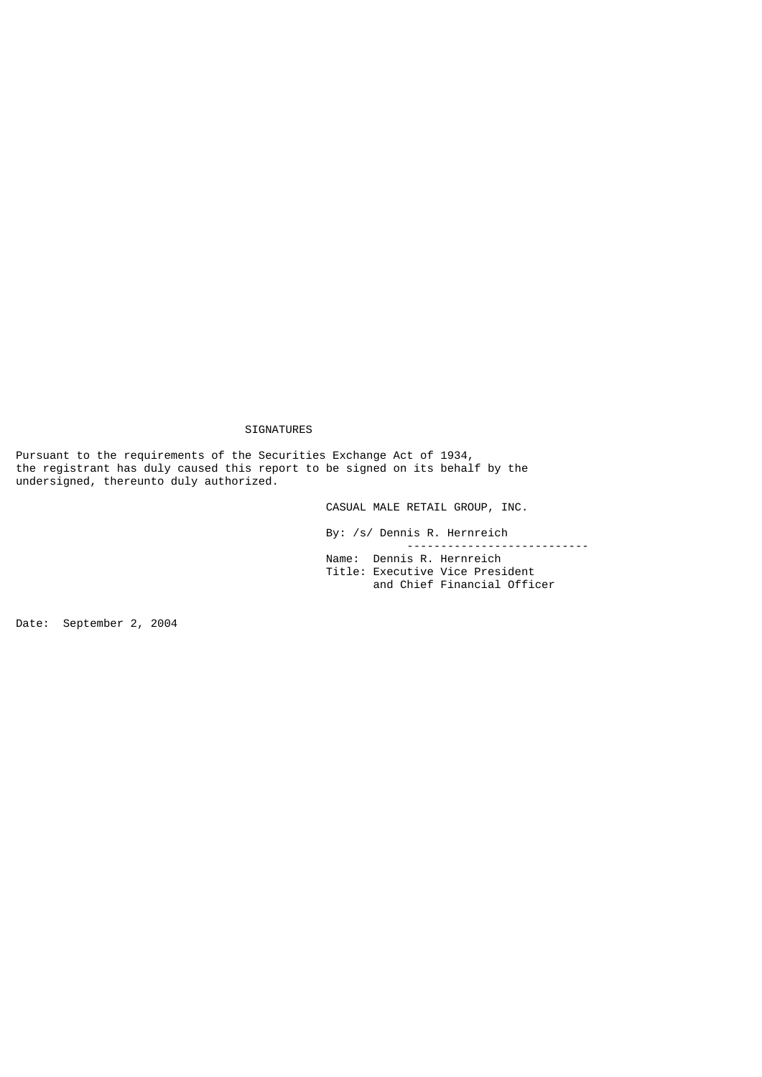## SIGNATURES

Pursuant to the requirements of the Securities Exchange Act of 1934, the registrant has duly caused this report to be signed on its behalf by the undersigned, thereunto duly authorized.

CASUAL MALE RETAIL GROUP, INC.

 By: /s/ Dennis R. Hernreich --------------------------- Name: Dennis R. Hernreich Title: Executive Vice President and Chief Financial Officer

Date: September 2, 2004